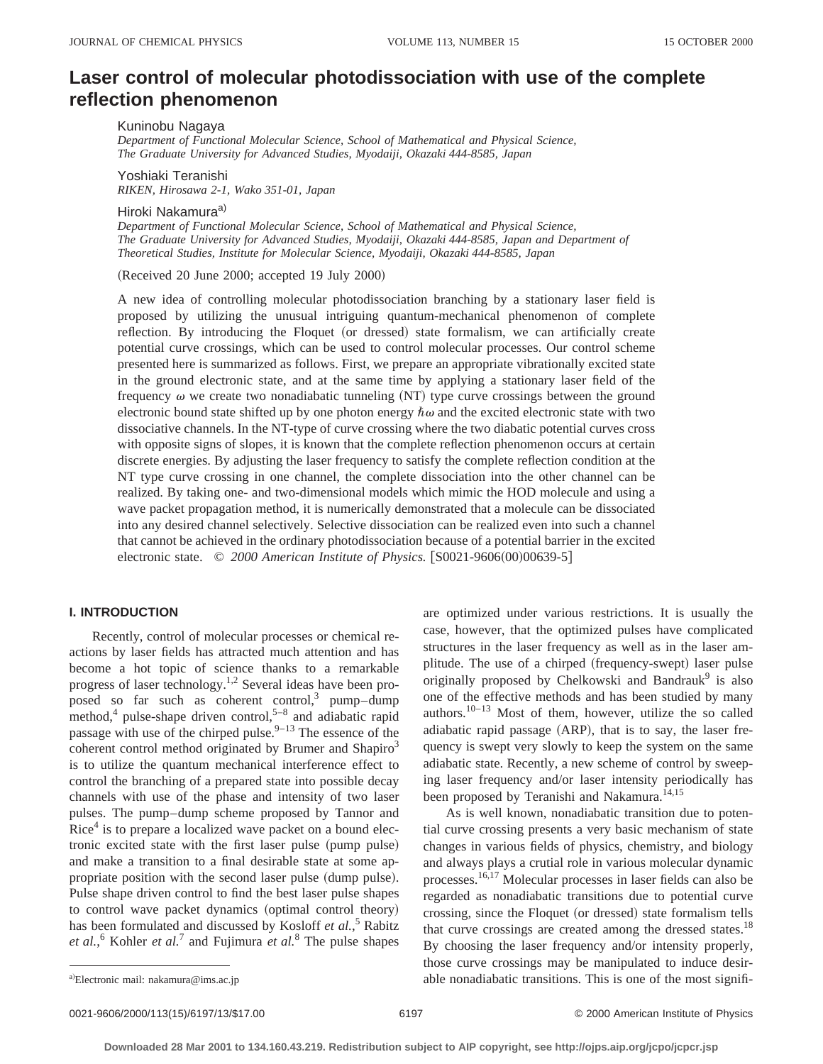# **Laser control of molecular photodissociation with use of the complete reflection phenomenon**

Kuninobu Nagaya

*Department of Functional Molecular Science, School of Mathematical and Physical Science, The Graduate University for Advanced Studies, Myodaiji, Okazaki 444-8585, Japan*

Yoshiaki Teranishi *RIKEN, Hirosawa 2-1, Wako 351-01, Japan*

Hiroki Nakamura<sup>a)</sup>

*Department of Functional Molecular Science, School of Mathematical and Physical Science, The Graduate University for Advanced Studies, Myodaiji, Okazaki 444-8585, Japan and Department of Theoretical Studies, Institute for Molecular Science, Myodaiji, Okazaki 444-8585, Japan*

(Received 20 June 2000; accepted 19 July 2000)

A new idea of controlling molecular photodissociation branching by a stationary laser field is proposed by utilizing the unusual intriguing quantum-mechanical phenomenon of complete reflection. By introducing the Floquet (or dressed) state formalism, we can artificially create potential curve crossings, which can be used to control molecular processes. Our control scheme presented here is summarized as follows. First, we prepare an appropriate vibrationally excited state in the ground electronic state, and at the same time by applying a stationary laser field of the frequency  $\omega$  we create two nonadiabatic tunneling (NT) type curve crossings between the ground electronic bound state shifted up by one photon energy  $\hbar \omega$  and the excited electronic state with two dissociative channels. In the NT-type of curve crossing where the two diabatic potential curves cross with opposite signs of slopes, it is known that the complete reflection phenomenon occurs at certain discrete energies. By adjusting the laser frequency to satisfy the complete reflection condition at the NT type curve crossing in one channel, the complete dissociation into the other channel can be realized. By taking one- and two-dimensional models which mimic the HOD molecule and using a wave packet propagation method, it is numerically demonstrated that a molecule can be dissociated into any desired channel selectively. Selective dissociation can be realized even into such a channel that cannot be achieved in the ordinary photodissociation because of a potential barrier in the excited electronic state. © 2000 American Institute of Physics. [S0021-9606(00)00639-5]

#### **I. INTRODUCTION**

Recently, control of molecular processes or chemical reactions by laser fields has attracted much attention and has become a hot topic of science thanks to a remarkable progress of laser technology.<sup>1,2</sup> Several ideas have been proposed so far such as coherent control,<sup>3</sup> pump–dump method,<sup>4</sup> pulse-shape driven control,<sup>5–8</sup> and adiabatic rapid passage with use of the chirped pulse. $9-13$  The essence of the coherent control method originated by Brumer and Shapiro<sup>3</sup> is to utilize the quantum mechanical interference effect to control the branching of a prepared state into possible decay channels with use of the phase and intensity of two laser pulses. The pump–dump scheme proposed by Tannor and Rice<sup>4</sup> is to prepare a localized wave packet on a bound electronic excited state with the first laser pulse (pump pulse) and make a transition to a final desirable state at some appropriate position with the second laser pulse (dump pulse). Pulse shape driven control to find the best laser pulse shapes to control wave packet dynamics (optimal control theory) has been formulated and discussed by Kosloff *et al.*, <sup>5</sup> Rabitz *et al.*, <sup>6</sup> Kohler *et al.*<sup>7</sup> and Fujimura *et al.*<sup>8</sup> The pulse shapes are optimized under various restrictions. It is usually the case, however, that the optimized pulses have complicated structures in the laser frequency as well as in the laser amplitude. The use of a chirped (frequency-swept) laser pulse originally proposed by Chelkowski and Bandrauk<sup>9</sup> is also one of the effective methods and has been studied by many authors.<sup>10–13</sup> Most of them, however, utilize the so called adiabatic rapid passage (ARP), that is to say, the laser frequency is swept very slowly to keep the system on the same adiabatic state. Recently, a new scheme of control by sweeping laser frequency and/or laser intensity periodically has been proposed by Teranishi and Nakamura.<sup>14,15</sup>

As is well known, nonadiabatic transition due to potential curve crossing presents a very basic mechanism of state changes in various fields of physics, chemistry, and biology and always plays a crutial role in various molecular dynamic processes.16,17 Molecular processes in laser fields can also be regarded as nonadiabatic transitions due to potential curve crossing, since the Floquet (or dressed) state formalism tells that curve crossings are created among the dressed states.<sup>18</sup> By choosing the laser frequency and/or intensity properly, those curve crossings may be manipulated to induce desirable nonadiabatic transitions. This is one of the most signifi-

0021-9606/2000/113(15)/6197/13/\$17.00 6197 6197 6197 6197 6197 6197 62000 American Institute of Physics

a)Electronic mail: nakamura@ims.ac.jp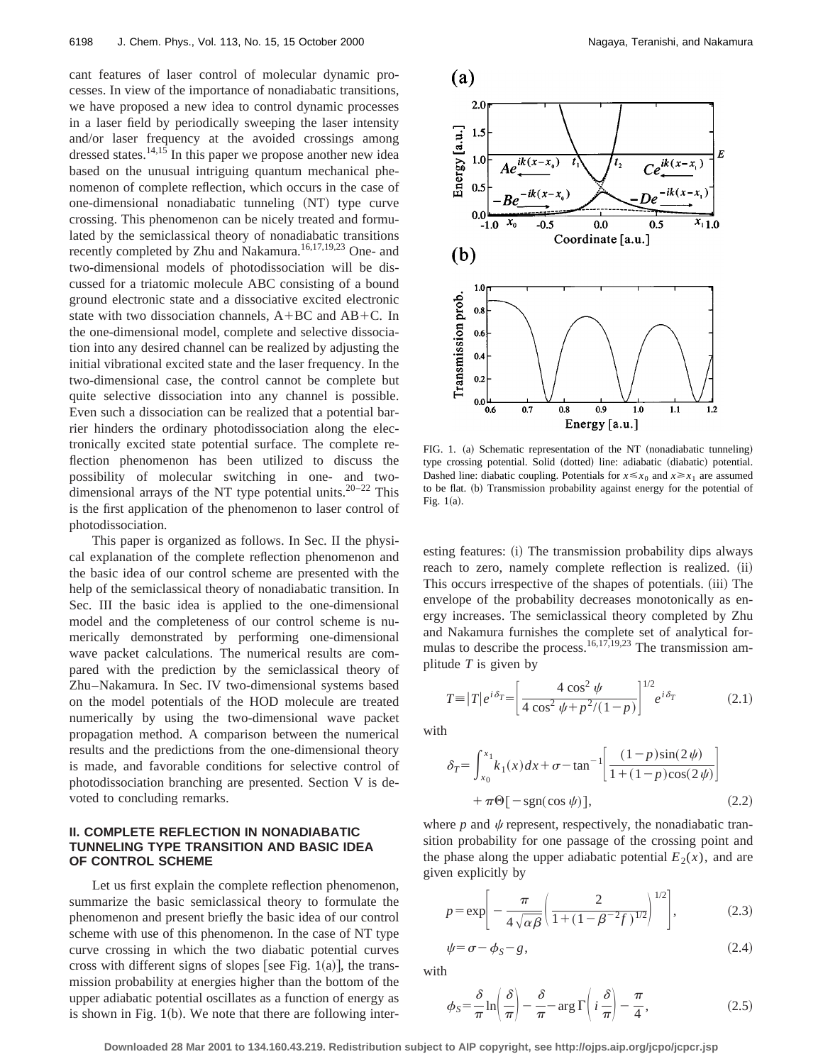cant features of laser control of molecular dynamic processes. In view of the importance of nonadiabatic transitions, we have proposed a new idea to control dynamic processes in a laser field by periodically sweeping the laser intensity and/or laser frequency at the avoided crossings among dressed states.<sup>14,15</sup> In this paper we propose another new idea based on the unusual intriguing quantum mechanical phenomenon of complete reflection, which occurs in the case of one-dimensional nonadiabatic tunneling (NT) type curve crossing. This phenomenon can be nicely treated and formulated by the semiclassical theory of nonadiabatic transitions recently completed by Zhu and Nakamura.16,17,19,23 One- and two-dimensional models of photodissociation will be discussed for a triatomic molecule ABC consisting of a bound ground electronic state and a dissociative excited electronic state with two dissociation channels,  $A+BC$  and  $AB+C$ . In the one-dimensional model, complete and selective dissociation into any desired channel can be realized by adjusting the initial vibrational excited state and the laser frequency. In the two-dimensional case, the control cannot be complete but quite selective dissociation into any channel is possible. Even such a dissociation can be realized that a potential barrier hinders the ordinary photodissociation along the electronically excited state potential surface. The complete reflection phenomenon has been utilized to discuss the possibility of molecular switching in one- and twodimensional arrays of the NT type potential units.<sup>20–22</sup> This is the first application of the phenomenon to laser control of photodissociation.

This paper is organized as follows. In Sec. II the physical explanation of the complete reflection phenomenon and the basic idea of our control scheme are presented with the help of the semiclassical theory of nonadiabatic transition. In Sec. III the basic idea is applied to the one-dimensional model and the completeness of our control scheme is numerically demonstrated by performing one-dimensional wave packet calculations. The numerical results are compared with the prediction by the semiclassical theory of Zhu–Nakamura. In Sec. IV two-dimensional systems based on the model potentials of the HOD molecule are treated numerically by using the two-dimensional wave packet propagation method. A comparison between the numerical results and the predictions from the one-dimensional theory is made, and favorable conditions for selective control of photodissociation branching are presented. Section V is devoted to concluding remarks.

# **II. COMPLETE REFLECTION IN NONADIABATIC TUNNELING TYPE TRANSITION AND BASIC IDEA OF CONTROL SCHEME**

Let us first explain the complete reflection phenomenon, summarize the basic semiclassical theory to formulate the phenomenon and present briefly the basic idea of our control scheme with use of this phenomenon. In the case of NT type curve crossing in which the two diabatic potential curves cross with different signs of slopes [see Fig.  $1(a)$ ], the transmission probability at energies higher than the bottom of the upper adiabatic potential oscillates as a function of energy as is shown in Fig.  $1(b)$ . We note that there are following inter-



FIG. 1. (a) Schematic representation of the NT (nonadiabatic tunneling) type crossing potential. Solid (dotted) line: adiabatic (diabatic) potential. Dashed line: diabatic coupling. Potentials for  $x \le x_0$  and  $x \ge x_1$  are assumed to be flat. (b) Transmission probability against energy for the potential of Fig.  $1(a)$ .

esting features: (i) The transmission probability dips always reach to zero, namely complete reflection is realized. (ii) This occurs irrespective of the shapes of potentials. (iii) The envelope of the probability decreases monotonically as energy increases. The semiclassical theory completed by Zhu and Nakamura furnishes the complete set of analytical formulas to describe the process.<sup>16,17,19,23</sup> The transmission amplitude *T* is given by

$$
T = |T|e^{i\delta_T} = \left[\frac{4\cos^2\psi}{4\cos^2\psi + p^2/(1-p)}\right]^{1/2} e^{i\delta_T}
$$
 (2.1)

with

$$
\delta_T = \int_{x_0}^{x_1} k_1(x) dx + \sigma - \tan^{-1} \left[ \frac{(1-p)\sin(2\psi)}{1 + (1-p)\cos(2\psi)} \right] + \pi \Theta \left[ -\text{sgn}(\cos \psi) \right],
$$
\n(2.2)

where  $p$  and  $\psi$  represent, respectively, the nonadiabatic transition probability for one passage of the crossing point and the phase along the upper adiabatic potential  $E_2(x)$ , and are given explicitly by

$$
p = \exp\left[-\frac{\pi}{4\sqrt{\alpha\beta}} \left(\frac{2}{1 + (1 - \beta^{-2}f)^{1/2}}\right)^{1/2}\right],
$$
 (2.3)

$$
\psi = \sigma - \phi_S - g,\tag{2.4}
$$

with

$$
\phi_S = \frac{\delta}{\pi} \ln \left( \frac{\delta}{\pi} \right) - \frac{\delta}{\pi} - \arg \Gamma \left( i \frac{\delta}{\pi} \right) - \frac{\pi}{4},\tag{2.5}
$$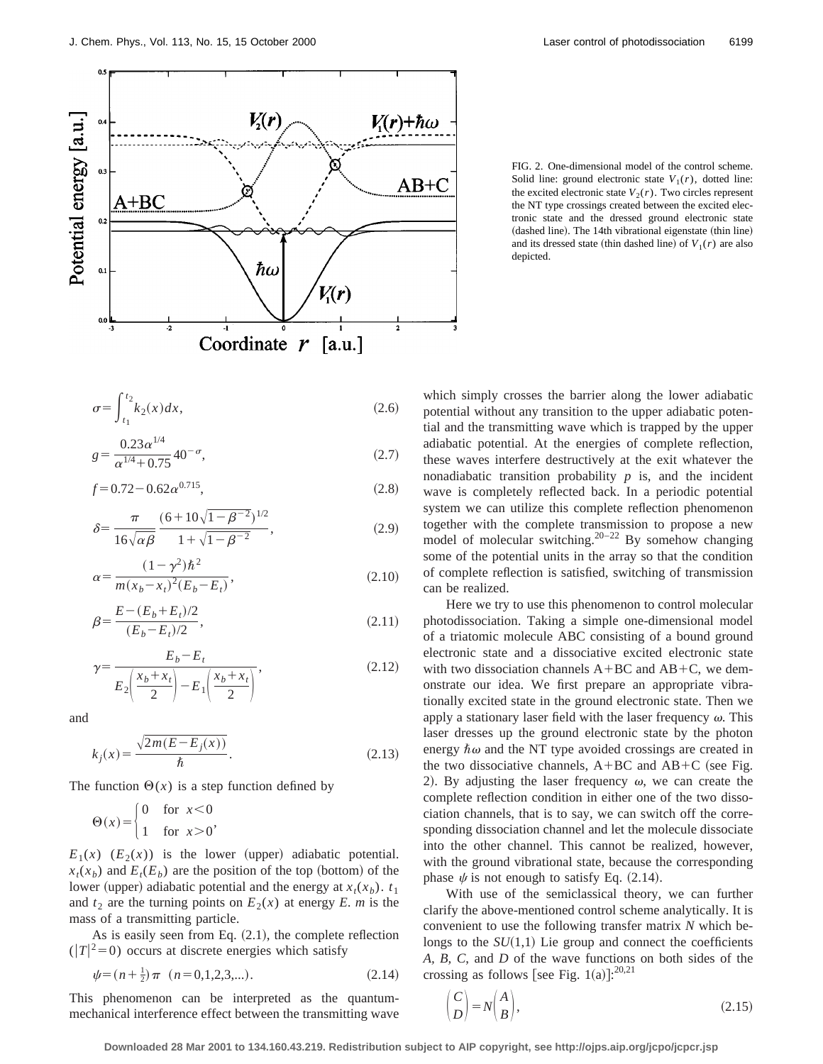

$$
= \int_{t_1}^{t_2} k_2(x) dx,
$$
 (2.6)

$$
g = \frac{0.23\alpha^{1/4}}{\alpha^{1/4} + 0.75} 40^{-\sigma},\tag{2.7}
$$

$$
f = 0.72 - 0.62\alpha^{0.715},\tag{2.8}
$$

$$
\delta = \frac{\pi}{16\sqrt{\alpha\beta}} \frac{(6+10\sqrt{1-\beta^{-2}})^{1/2}}{1+\sqrt{1-\beta^{-2}}},
$$
\n(2.9)

$$
\alpha = \frac{(1 - \gamma^2)\hbar^2}{m(x_b - x_t)^2 (E_b - E_t)},
$$
\n(2.10)

$$
\beta = \frac{E - (E_b + E_t)/2}{(E_b - E_t)/2},\tag{2.11}
$$

$$
\gamma = \frac{E_b - E_t}{E_2 \left(\frac{x_b + x_t}{2}\right) - E_1 \left(\frac{x_b + x_t}{2}\right)},\tag{2.12}
$$

and

 $\sigma$ =

$$
k_j(x) = \frac{\sqrt{2m(E - E_j(x))}}{\hbar}.
$$
\n(2.13)

The function  $\Theta(x)$  is a step function defined by

$$
\Theta(x) = \begin{cases} 0 & \text{for } x < 0 \\ 1 & \text{for } x > 0 \end{cases}
$$

 $E_1(x)$   $(E_2(x))$  is the lower (upper) adiabatic potential.  $x_t(x_b)$  and  $E_t(E_b)$  are the position of the top (bottom) of the lower (upper) adiabatic potential and the energy at  $x_t(x_b)$ .  $t_1$ and  $t_2$  are the turning points on  $E_2(x)$  at energy *E*. *m* is the mass of a transmitting particle.

As is easily seen from Eq.  $(2.1)$ , the complete reflection  $(|T|^2=0)$  occurs at discrete energies which satisfy

$$
\psi = (n + \frac{1}{2})\pi \quad (n = 0, 1, 2, 3, \dots). \tag{2.14}
$$

This phenomenon can be interpreted as the quantummechanical interference effect between the transmitting wave

FIG. 2. One-dimensional model of the control scheme. Solid line: ground electronic state  $V_1(r)$ , dotted line: the excited electronic state  $V_2(r)$ . Two circles represent the NT type crossings created between the excited electronic state and the dressed ground electronic state (dashed line). The 14th vibrational eigenstate (thin line) and its dressed state (thin dashed line) of  $V_1(r)$  are also depicted.

which simply crosses the barrier along the lower adiabatic potential without any transition to the upper adiabatic potential and the transmitting wave which is trapped by the upper adiabatic potential. At the energies of complete reflection, these waves interfere destructively at the exit whatever the nonadiabatic transition probability  $p$  is, and the incident wave is completely reflected back. In a periodic potential system we can utilize this complete reflection phenomenon together with the complete transmission to propose a new model of molecular switching.<sup>20–22</sup> By somehow changing some of the potential units in the array so that the condition of complete reflection is satisfied, switching of transmission can be realized.

Here we try to use this phenomenon to control molecular photodissociation. Taking a simple one-dimensional model of a triatomic molecule ABC consisting of a bound ground electronic state and a dissociative excited electronic state with two dissociation channels  $A+BC$  and  $AB+C$ , we demonstrate our idea. We first prepare an appropriate vibrationally excited state in the ground electronic state. Then we apply a stationary laser field with the laser frequency  $\omega$ . This laser dresses up the ground electronic state by the photon energy  $\hbar \omega$  and the NT type avoided crossings are created in the two dissociative channels,  $A+BC$  and  $AB+C$  (see Fig. 2). By adjusting the laser frequency  $\omega$ , we can create the complete reflection condition in either one of the two dissociation channels, that is to say, we can switch off the corresponding dissociation channel and let the molecule dissociate into the other channel. This cannot be realized, however, with the ground vibrational state, because the corresponding phase  $\psi$  is not enough to satisfy Eq. (2.14).

With use of the semiclassical theory, we can further clarify the above-mentioned control scheme analytically. It is convenient to use the following transfer matrix *N* which belongs to the  $SU(1,1)$  Lie group and connect the coefficients *A, B, C*, and *D* of the wave functions on both sides of the crossing as follows [see Fig. 1(a)]: $^{20,21}$ 

$$
\binom{C}{D} = N \binom{A}{B},\tag{2.15}
$$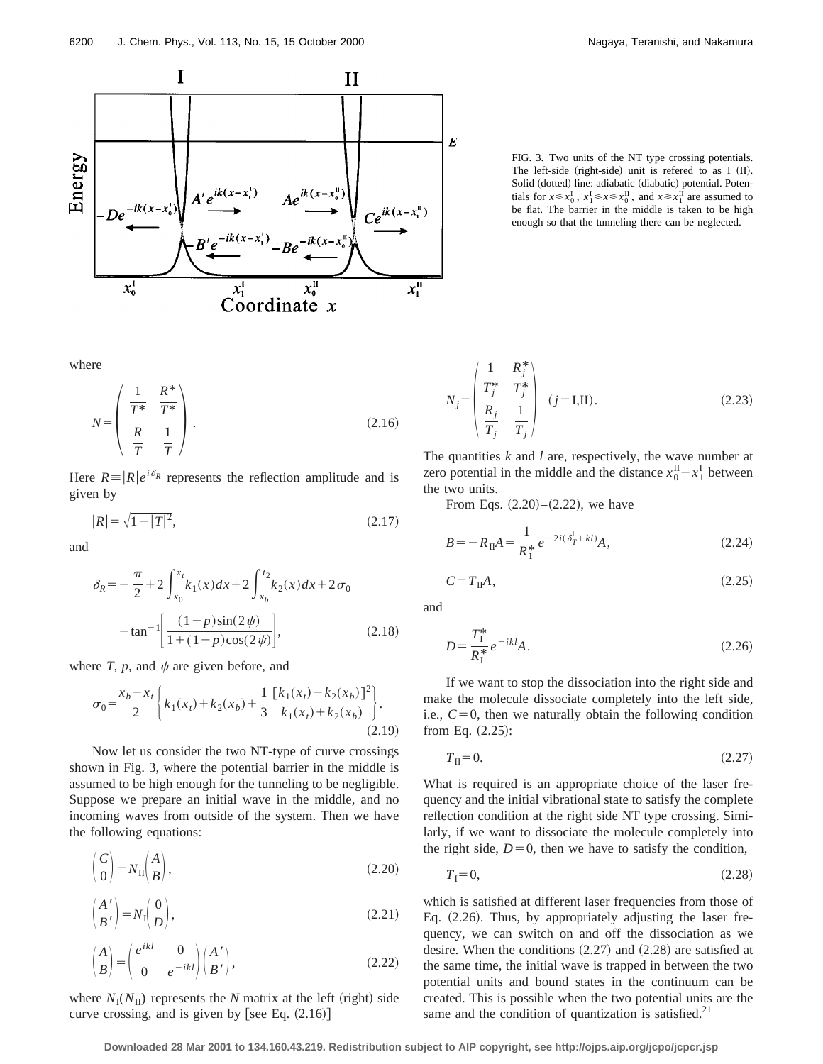

FIG. 3. Two units of the NT type crossing potentials. The left-side (right-side) unit is refered to as I  $(II)$ . Solid (dotted) line: adiabatic (diabatic) potential. Potentials for  $x \le x_0^{\text{I}}$ ,  $x_1^{\text{I}} \le x \le x_0^{\text{II}}$ , and  $x \ge x_1^{\text{II}}$  are assumed to be flat. The barrier in the middle is taken to be high enough so that the tunneling there can be neglected.

where

$$
N = \left(\begin{array}{cc} \frac{1}{T^*} & \frac{R^*}{T^*} \\ \frac{R}{T} & \frac{1}{T} \end{array}\right). \tag{2.16}
$$

Here  $R = |R|e^{i\delta_R}$  represents the reflection amplitude and is given by

$$
|R| = \sqrt{1 - |T|^2},\tag{2.17}
$$

and

$$
\delta_R = -\frac{\pi}{2} + 2 \int_{x_0}^{x_t} k_1(x) dx + 2 \int_{x_b}^{t_2} k_2(x) dx + 2 \sigma_0
$$

$$
-\tan^{-1} \left[ \frac{(1-p)\sin(2\psi)}{1 + (1-p)\cos(2\psi)} \right],
$$
(2.18)

where *T*,  $p$ , and  $\psi$  are given before, and

$$
\sigma_0 = \frac{x_b - x_t}{2} \left\{ k_1(x_t) + k_2(x_b) + \frac{1}{3} \frac{\left[ k_1(x_t) - k_2(x_b) \right]^2}{k_1(x_t) + k_2(x_b)} \right\}.
$$
\n(2.19)

Now let us consider the two NT-type of curve crossings shown in Fig. 3, where the potential barrier in the middle is assumed to be high enough for the tunneling to be negligible. Suppose we prepare an initial wave in the middle, and no incoming waves from outside of the system. Then we have the following equations:

$$
\begin{pmatrix} C \\ 0 \end{pmatrix} = N_{\rm II} \begin{pmatrix} A \\ B \end{pmatrix},\tag{2.20}
$$

$$
\begin{pmatrix} A' \\ B' \end{pmatrix} = N_{\rm I} \begin{pmatrix} 0 \\ D \end{pmatrix},\tag{2.21}
$$

$$
\begin{pmatrix} A \\ B \end{pmatrix} = \begin{pmatrix} e^{ikl} & 0 \\ 0 & e^{-ikl} \end{pmatrix} \begin{pmatrix} A' \\ B' \end{pmatrix},
$$
\n(2.22)

where  $N_I(N_{II})$  represents the *N* matrix at the left (right) side curve crossing, and is given by  $[see Eq. (2.16)]$ 

$$
N_j = \begin{pmatrix} \frac{1}{T_j^*} & \frac{R_j^*}{T_j^*} \\ \frac{R_j}{T_j} & \frac{1}{T_j} \end{pmatrix} \quad (j = \text{I,II}). \tag{2.23}
$$

The quantities *k* and *l* are, respectively, the wave number at zero potential in the middle and the distance  $x_0^{\text{II}} - x_1^{\text{I}}$  between the two units.

From Eqs.  $(2.20)$ – $(2.22)$ , we have

$$
B = -R_{\rm II}A = \frac{1}{R_{\rm I}^*}e^{-2i(\delta_{T}^{\rm I} + kl)}A,\tag{2.24}
$$

$$
C = T_{\rm II} A, \tag{2.25}
$$

and

$$
D = \frac{T_1^*}{R_1^*} e^{-ikI} A.
$$
 (2.26)

If we want to stop the dissociation into the right side and make the molecule dissociate completely into the left side, i.e.,  $C=0$ , then we naturally obtain the following condition from Eq.  $(2.25)$ :

$$
T_{\rm II} = 0.\tag{2.27}
$$

What is required is an appropriate choice of the laser frequency and the initial vibrational state to satisfy the complete reflection condition at the right side NT type crossing. Similarly, if we want to dissociate the molecule completely into the right side,  $D=0$ , then we have to satisfy the condition,

$$
T_{\rm I} = 0,\tag{2.28}
$$

which is satisfied at different laser frequencies from those of Eq.  $(2.26)$ . Thus, by appropriately adjusting the laser frequency, we can switch on and off the dissociation as we desire. When the conditions  $(2.27)$  and  $(2.28)$  are satisfied at the same time, the initial wave is trapped in between the two potential units and bound states in the continuum can be created. This is possible when the two potential units are the same and the condition of quantization is satisfied. $21$ 

**Downloaded 28 Mar 2001 to 134.160.43.219. Redistribution subject to AIP copyright, see http://ojps.aip.org/jcpo/jcpcr.jsp**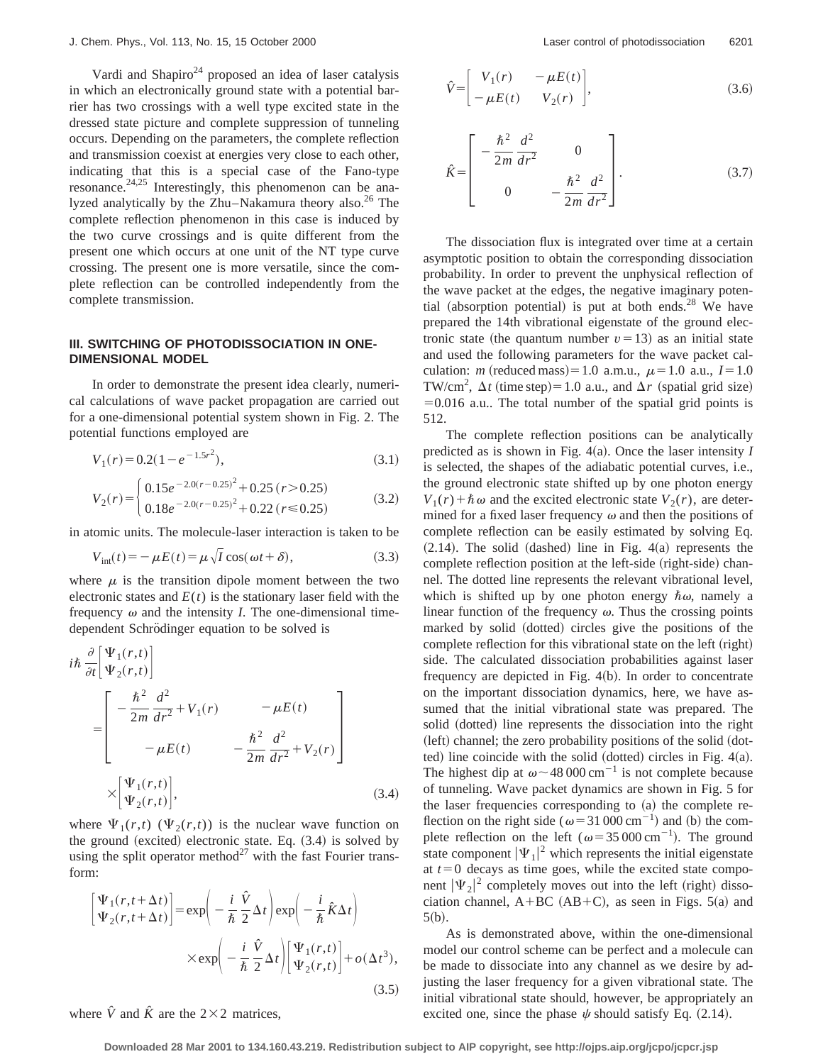Vardi and Shapiro $^{24}$  proposed an idea of laser catalysis in which an electronically ground state with a potential barrier has two crossings with a well type excited state in the dressed state picture and complete suppression of tunneling occurs. Depending on the parameters, the complete reflection and transmission coexist at energies very close to each other, indicating that this is a special case of the Fano-type resonance.<sup>24,25</sup> Interestingly, this phenomenon can be analyzed analytically by the Zhu-Nakamura theory also.<sup>26</sup> The complete reflection phenomenon in this case is induced by the two curve crossings and is quite different from the present one which occurs at one unit of the NT type curve crossing. The present one is more versatile, since the complete reflection can be controlled independently from the complete transmission.

### **III. SWITCHING OF PHOTODISSOCIATION IN ONE-DIMENSIONAL MODEL**

In order to demonstrate the present idea clearly, numerical calculations of wave packet propagation are carried out for a one-dimensional potential system shown in Fig. 2. The potential functions employed are

$$
V_1(r) = 0.2(1 - e^{-1.5r^2}),\tag{3.1}
$$

$$
V_2(r) = \begin{cases} 0.15e^{-2.0(r - 0.25)^2} + 0.25 (r > 0.25) \\ 0.18e^{-2.0(r - 0.25)^2} + 0.22 (r \le 0.25) \end{cases}
$$
(3.2)

in atomic units. The molecule-laser interaction is taken to be

$$
V_{\text{int}}(t) = -\mu E(t) = \mu \sqrt{I} \cos(\omega t + \delta), \qquad (3.3)
$$

where  $\mu$  is the transition dipole moment between the two electronic states and  $E(t)$  is the stationary laser field with the frequency  $\omega$  and the intensity *I*. The one-dimensional timedependent Schrödinger equation to be solved is

$$
i\hbar \frac{\partial}{\partial t} \left[ \Psi_1(r,t) \right]
$$
  
\n
$$
= \begin{bmatrix} -\frac{\hbar^2}{2m} \frac{d^2}{dr^2} + V_1(r) & -\mu E(t) \\ -\mu E(t) & -\frac{\hbar^2}{2m} \frac{d^2}{dr^2} + V_2(r) \end{bmatrix}
$$
  
\n
$$
\times \left[ \Psi_1(r,t) \right], \qquad (3.4)
$$

where  $\Psi_1(r,t)$  ( $\Psi_2(r,t)$ ) is the nuclear wave function on the ground (excited) electronic state. Eq.  $(3.4)$  is solved by using the split operator method<sup>27</sup> with the fast Fourier transform:

$$
\begin{aligned}\n\left[\frac{\Psi_1(r, t + \Delta t)}{\Psi_2(r, t + \Delta t)}\right] &= \exp\left(-\frac{i}{\hbar} \frac{\hat{V}}{2} \Delta t\right) \exp\left(-\frac{i}{\hbar} \hat{K} \Delta t\right) \\
&\times \exp\left(-\frac{i}{\hbar} \frac{\hat{V}}{2} \Delta t\right) \left[\frac{\Psi_1(r, t)}{\Psi_2(r, t)}\right] + o(\Delta t^3),\n\end{aligned} \tag{3.5}
$$

where  $\hat{V}$  and  $\hat{K}$  are the 2×2 matrices,

$$
\hat{V} = \begin{bmatrix} V_1(r) & -\mu E(t) \\ -\mu E(t) & V_2(r) \end{bmatrix},
$$
\n(3.6)

$$
\hat{K} = \begin{bmatrix}\n-\frac{\hbar^2}{2m} \frac{d^2}{dr^2} & 0 \\
0 & -\frac{\hbar^2}{2m} \frac{d^2}{dr^2}\n\end{bmatrix}.
$$
\n(3.7)

The dissociation flux is integrated over time at a certain asymptotic position to obtain the corresponding dissociation probability. In order to prevent the unphysical reflection of the wave packet at the edges, the negative imaginary potential (absorption potential) is put at both ends.<sup>28</sup> We have prepared the 14th vibrational eigenstate of the ground electronic state (the quantum number  $v=13$ ) as an initial state and used the following parameters for the wave packet calculation: *m* (reduced mass) = 1.0 a.m.u.,  $\mu$  = 1.0 a.u., *I* = 1.0 TW/cm<sup>2</sup>,  $\Delta t$  (time step) = 1.0 a.u., and  $\Delta r$  (spatial grid size)  $=0.016$  a.u.. The total number of the spatial grid points is 512.

The complete reflection positions can be analytically predicted as is shown in Fig.  $4(a)$ . Once the laser intensity *I* is selected, the shapes of the adiabatic potential curves, i.e., the ground electronic state shifted up by one photon energy  $V_1(r) + \hbar \omega$  and the excited electronic state  $V_2(r)$ , are determined for a fixed laser frequency  $\omega$  and then the positions of complete reflection can be easily estimated by solving Eq.  $(2.14)$ . The solid (dashed) line in Fig. 4(a) represents the complete reflection position at the left-side (right-side) channel. The dotted line represents the relevant vibrational level, which is shifted up by one photon energy  $\hbar \omega$ , namely a linear function of the frequency  $\omega$ . Thus the crossing points marked by solid (dotted) circles give the positions of the complete reflection for this vibrational state on the left (right) side. The calculated dissociation probabilities against laser frequency are depicted in Fig.  $4(b)$ . In order to concentrate on the important dissociation dynamics, here, we have assumed that the initial vibrational state was prepared. The solid (dotted) line represents the dissociation into the right  $^{\prime}$  (left) channel; the zero probability positions of the solid (dotted) line coincide with the solid (dotted) circles in Fig.  $4(a)$ . The highest dip at  $\omega \sim 48\,000 \text{ cm}^{-1}$  is not complete because of tunneling. Wave packet dynamics are shown in Fig. 5 for the laser frequencies corresponding to  $(a)$  the complete reflection on the right side ( $\omega$ =31 000 cm<sup>-1</sup>) and (b) the complete reflection on the left ( $\omega$ =35000 cm<sup>-1</sup>). The ground state component  $|\Psi_1|^2$  which represents the initial eigenstate at  $t=0$  decays as time goes, while the excited state component  $|\Psi_2|^2$  completely moves out into the left (right) dissociation channel,  $A+BC (AB+C)$ , as seen in Figs. 5(a) and  $5(b).$ 

As is demonstrated above, within the one-dimensional model our control scheme can be perfect and a molecule can be made to dissociate into any channel as we desire by adjusting the laser frequency for a given vibrational state. The initial vibrational state should, however, be appropriately an excited one, since the phase  $\psi$  should satisfy Eq. (2.14).

**Downloaded 28 Mar 2001 to 134.160.43.219. Redistribution subject to AIP copyright, see http://ojps.aip.org/jcpo/jcpcr.jsp**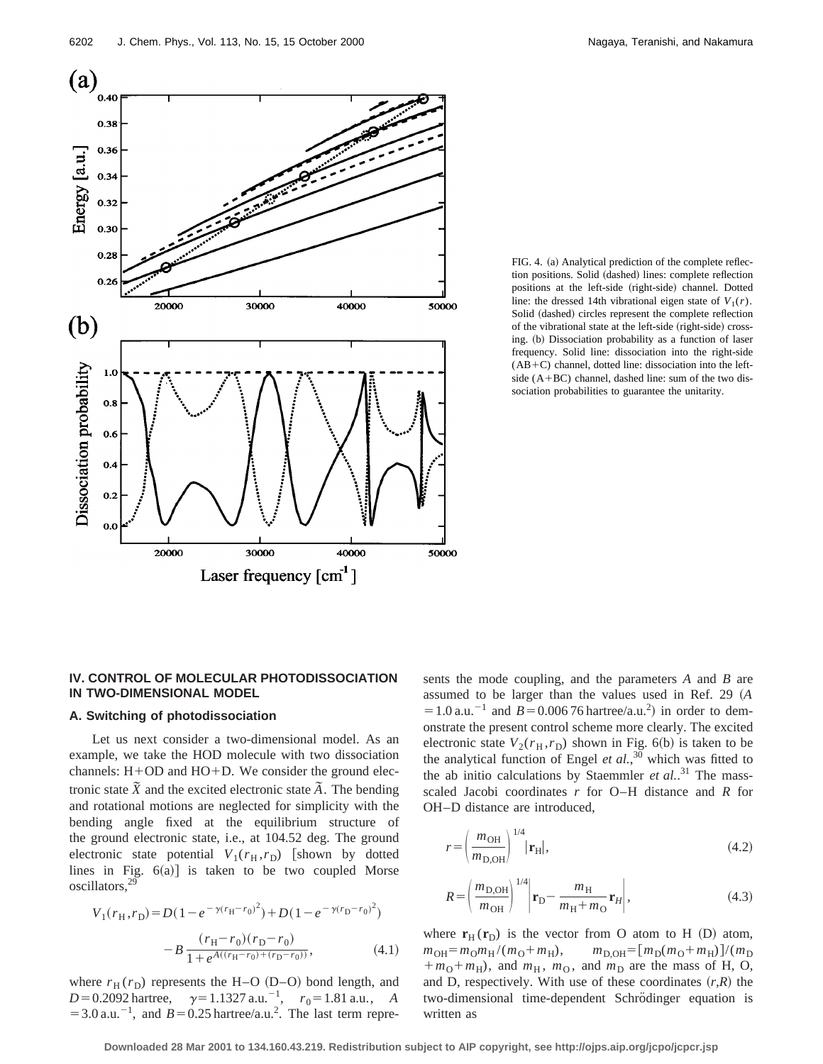$(a)$ 

Energy [a.u.]

 $0.40$ 

0.38 0.36

 $0.34$  $0.32$  $0.30$  $0.28$  $0.26$ 



FIG. 4. (a) Analytical prediction of the complete reflection positions. Solid (dashed) lines: complete reflection positions at the left-side (right-side) channel. Dotted line: the dressed 14th vibrational eigen state of  $V_1(r)$ . Solid (dashed) circles represent the complete reflection of the vibrational state at the left-side (right-side) crossing. (b) Dissociation probability as a function of laser frequency. Solid line: dissociation into the right-side  $(AB+C)$  channel, dotted line: dissociation into the leftside  $(A+BC)$  channel, dashed line: sum of the two dissociation probabilities to guarantee the unitarity.



# **IV. CONTROL OF MOLECULAR PHOTODISSOCIATION IN TWO-DIMENSIONAL MODEL**

# **A. Switching of photodissociation**

Let us next consider a two-dimensional model. As an example, we take the HOD molecule with two dissociation channels:  $H+OD$  and  $HO+D$ . We consider the ground electronic state  $\tilde{X}$  and the excited electronic state  $\tilde{A}$ . The bending and rotational motions are neglected for simplicity with the bending angle fixed at the equilibrium structure of the ground electronic state, i.e., at 104.52 deg. The ground electronic state potential  $V_1(r_H, r_D)$  [shown by dotted lines in Fig.  $6(a)$ ] is taken to be two coupled Morse oscillators,29

$$
V_1(r_H, r_D) = D(1 - e^{-\gamma(r_H - r_0)^2}) + D(1 - e^{-\gamma(r_D - r_0)^2})
$$

$$
-B \frac{(r_H - r_0)(r_D - r_0)}{1 + e^{A((r_H - r_0) + (r_D - r_0))}},
$$
(4.1)

where  $r_H(r_D)$  represents the H–O (D–O) bond length, and *D*=0.2092 hartree,  $\gamma$ =1.1327 a.u.<sup>-1</sup>,  $r_0$ =1.81 a.u., *A*  $=$  3.0 a.u.<sup>-1</sup>, and *B* = 0.25 hartree/a.u.<sup>2</sup>. The last term represents the mode coupling, and the parameters *A* and *B* are assumed to be larger than the values used in Ref. 29 (A  $= 1.0$  a.u.<sup>-1</sup> and *B* = 0.006 76 hartree/a.u.<sup>2</sup>) in order to demonstrate the present control scheme more clearly. The excited electronic state  $V_2(r_H, r_D)$  shown in Fig. 6(b) is taken to be the analytical function of Engel *et al.*, <sup>30</sup> which was fitted to the ab initio calculations by Staemmler *et al.*. <sup>31</sup> The massscaled Jacobi coordinates *r* for O–H distance and *R* for OH–D distance are introduced,

$$
r = \left(\frac{m_{\text{OH}}}{m_{\text{D,OH}}}\right)^{1/4} |\mathbf{r}_{\text{H}}|,\tag{4.2}
$$

$$
R = \left(\frac{m_{\text{D,OH}}}{m_{\text{OH}}}\right)^{1/4} \Big| \mathbf{r}_{\text{D}} - \frac{m_{\text{H}}}{m_{\text{H}} + m_{\text{O}}}\mathbf{r}_{H} \Big|, \tag{4.3}
$$

where  $\mathbf{r}_{\text{H}}(\mathbf{r}_{\text{D}})$  is the vector from O atom to H (D) atom,  $m_{OH} = m_{O}m_{H}/(m_{O} + m_{H}),$   $m_{D,OH} = [m_{D}(m_{O} + m_{H})]/(m_{D}$  $+m_{\rm O}+m_{\rm H}$ , and  $m_{\rm H}$ ,  $m_{\rm O}$ , and  $m_{\rm D}$  are the mass of H, O, and D, respectively. With use of these coordinates  $(r, R)$  the two-dimensional time-dependent Schrödinger equation is written as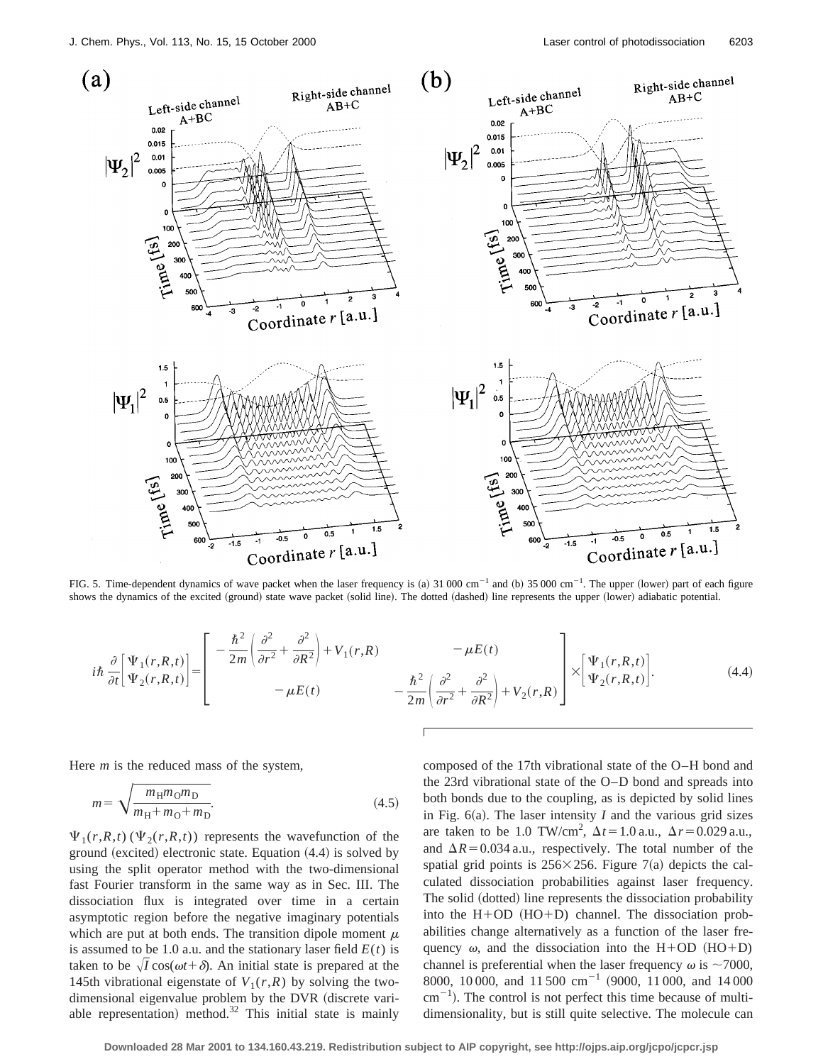

FIG. 5. Time-dependent dynamics of wave packet when the laser frequency is (a) 31 000 cm<sup>-1</sup> and (b) 35 000 cm<sup>-1</sup>. The upper (lower) part of each figure shows the dynamics of the excited (ground) state wave packet (solid line). The dotted (dashed) line represents the upper (lower) adiabatic potential.

$$
i\hbar \frac{\partial}{\partial t} \left[ \Psi_1(r, R, t) \right] = \left[ \begin{array}{ccc} -\frac{\hbar^2}{2m} \left( \frac{\partial^2}{\partial r^2} + \frac{\partial^2}{\partial R^2} \right) + V_1(r, R) & -\mu E(t) \\ -\mu E(t) & -\frac{\hbar^2}{2m} \left( \frac{\partial^2}{\partial r^2} + \frac{\partial^2}{\partial R^2} \right) + V_2(r, R) \end{array} \right] \times \left[ \Psi_1(r, R, t) \right]. \tag{4.4}
$$

Here *m* is the reduced mass of the system,

$$
m = \sqrt{\frac{m_{\rm H} m_{\rm O} m_{\rm D}}{m_{\rm H} + m_{\rm O} + m_{\rm D}}}.\tag{4.5}
$$

 $\Psi_1(r, R, t)$  ( $\Psi_2(r, R, t)$ ) represents the wavefunction of the ground (excited) electronic state. Equation  $(4.4)$  is solved by using the split operator method with the two-dimensional fast Fourier transform in the same way as in Sec. III. The dissociation flux is integrated over time in a certain asymptotic region before the negative imaginary potentials which are put at both ends. The transition dipole moment  $\mu$ is assumed to be 1.0 a.u. and the stationary laser field  $E(t)$  is taken to be  $\sqrt{I}\cos(\omega t + \delta)$ . An initial state is prepared at the 145th vibrational eigenstate of  $V_1(r, R)$  by solving the twodimensional eigenvalue problem by the DVR (discrete variable representation) method.<sup>32</sup> This initial state is mainly composed of the 17th vibrational state of the O–H bond and the 23rd vibrational state of the O–D bond and spreads into both bonds due to the coupling, as is depicted by solid lines in Fig.  $6(a)$ . The laser intensity *I* and the various grid sizes are taken to be 1.0 TW/cm<sup>2</sup>,  $\Delta t = 1.0$  a.u.,  $\Delta r = 0.029$  a.u., and  $\Delta R$ =0.034 a.u., respectively. The total number of the spatial grid points is  $256 \times 256$ . Figure 7(a) depicts the calculated dissociation probabilities against laser frequency. The solid (dotted) line represents the dissociation probability into the  $H+OD$   $(HO+D)$  channel. The dissociation probabilities change alternatively as a function of the laser frequency  $\omega$ , and the dissociation into the H+OD (HO+D) channel is preferential when the laser frequency  $\omega$  is  $\sim$ 7000, 8000, 10 000, and 11 500 cm<sup>-1</sup> (9000, 11 000, and 14 000  $\text{cm}^{-1}$ ). The control is not perfect this time because of multidimensionality, but is still quite selective. The molecule can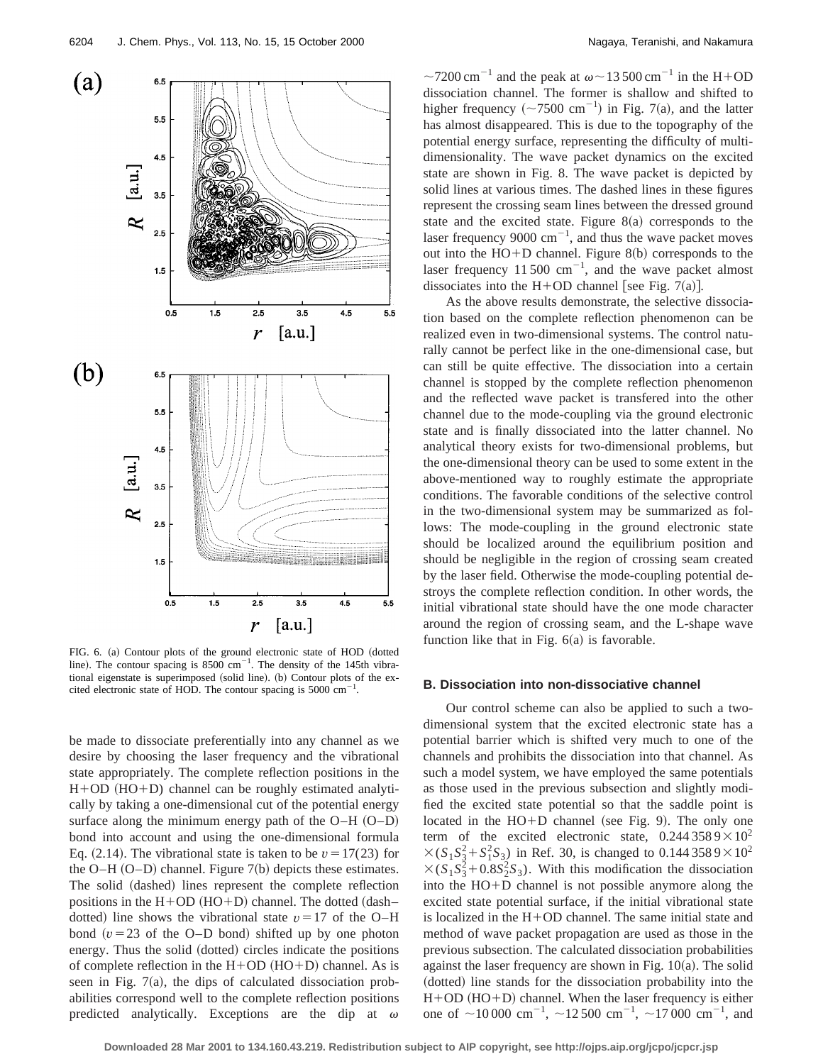

FIG. 6. (a) Contour plots of the ground electronic state of HOD (dotted line). The contour spacing is  $8500 \text{ cm}^{-1}$ . The density of the 145th vibrational eigenstate is superimposed (solid line).  $(b)$  Contour plots of the excited electronic state of HOD. The contour spacing is  $5000 \text{ cm}^{-1}$ .

be made to dissociate preferentially into any channel as we desire by choosing the laser frequency and the vibrational state appropriately. The complete reflection positions in the  $H+OD$   $(HO+D)$  channel can be roughly estimated analytically by taking a one-dimensional cut of the potential energy surface along the minimum energy path of the  $O-H (O-D)$ bond into account and using the one-dimensional formula Eq.  $(2.14)$ . The vibrational state is taken to be  $v=17(23)$  for the O–H  $(O-D)$  channel. Figure 7(b) depicts these estimates. The solid (dashed) lines represent the complete reflection positions in the H+OD  $(HO+D)$  channel. The dotted  $(dash$ dotted) line shows the vibrational state  $v=17$  of the O–H bond  $(v=23$  of the O–D bond) shifted up by one photon energy. Thus the solid (dotted) circles indicate the positions of complete reflection in the  $H+OD (HO+D)$  channel. As is seen in Fig.  $7(a)$ , the dips of calculated dissociation probabilities correspond well to the complete reflection positions predicted analytically. Exceptions are the dip at  $\omega$   $\sim$ 7200 cm<sup>-1</sup> and the peak at  $\omega$  ~ 13 500 cm<sup>-1</sup> in the H+OD dissociation channel. The former is shallow and shifted to higher frequency ( $\sim$ 7500 cm<sup>-1</sup>) in Fig. 7(a), and the latter has almost disappeared. This is due to the topography of the potential energy surface, representing the difficulty of multidimensionality. The wave packet dynamics on the excited state are shown in Fig. 8. The wave packet is depicted by solid lines at various times. The dashed lines in these figures represent the crossing seam lines between the dressed ground state and the excited state. Figure  $8(a)$  corresponds to the laser frequency  $9000 \text{ cm}^{-1}$ , and thus the wave packet moves out into the  $HO+D$  channel. Figure 8(b) corresponds to the laser frequency 11500  $cm^{-1}$ , and the wave packet almost dissociates into the H+OD channel [see Fig. 7(a)].

As the above results demonstrate, the selective dissociation based on the complete reflection phenomenon can be realized even in two-dimensional systems. The control naturally cannot be perfect like in the one-dimensional case, but can still be quite effective. The dissociation into a certain channel is stopped by the complete reflection phenomenon and the reflected wave packet is transfered into the other channel due to the mode-coupling via the ground electronic state and is finally dissociated into the latter channel. No analytical theory exists for two-dimensional problems, but the one-dimensional theory can be used to some extent in the above-mentioned way to roughly estimate the appropriate conditions. The favorable conditions of the selective control in the two-dimensional system may be summarized as follows: The mode-coupling in the ground electronic state should be localized around the equilibrium position and should be negligible in the region of crossing seam created by the laser field. Otherwise the mode-coupling potential destroys the complete reflection condition. In other words, the initial vibrational state should have the one mode character around the region of crossing seam, and the L-shape wave function like that in Fig.  $6(a)$  is favorable.

#### **B. Dissociation into non-dissociative channel**

Our control scheme can also be applied to such a twodimensional system that the excited electronic state has a potential barrier which is shifted very much to one of the channels and prohibits the dissociation into that channel. As such a model system, we have employed the same potentials as those used in the previous subsection and slightly modified the excited state potential so that the saddle point is located in the  $HO+D$  channel (see Fig. 9). The only one term of the excited electronic state,  $0.2443589 \times 10^2$  $\times (S_1 S_3^2 + S_1^2 S_3)$  in Ref. 30, is changed to 0.144 358 9  $\times 10^2$  $\times (S_1 S_3^2 + 0.8 S_2^2 S_3)$ . With this modification the dissociation into the  $HO+D$  channel is not possible anymore along the excited state potential surface, if the initial vibrational state is localized in the  $H+OD$  channel. The same initial state and method of wave packet propagation are used as those in the previous subsection. The calculated dissociation probabilities against the laser frequency are shown in Fig.  $10(a)$ . The solid (dotted) line stands for the dissociation probability into the  $H+OD$   $(HO+D)$  channel. When the laser frequency is either one of  $\sim$ 10 000 cm<sup>-1</sup>,  $\sim$ 12 500 cm<sup>-1</sup>,  $\sim$ 17 000 cm<sup>-1</sup>, and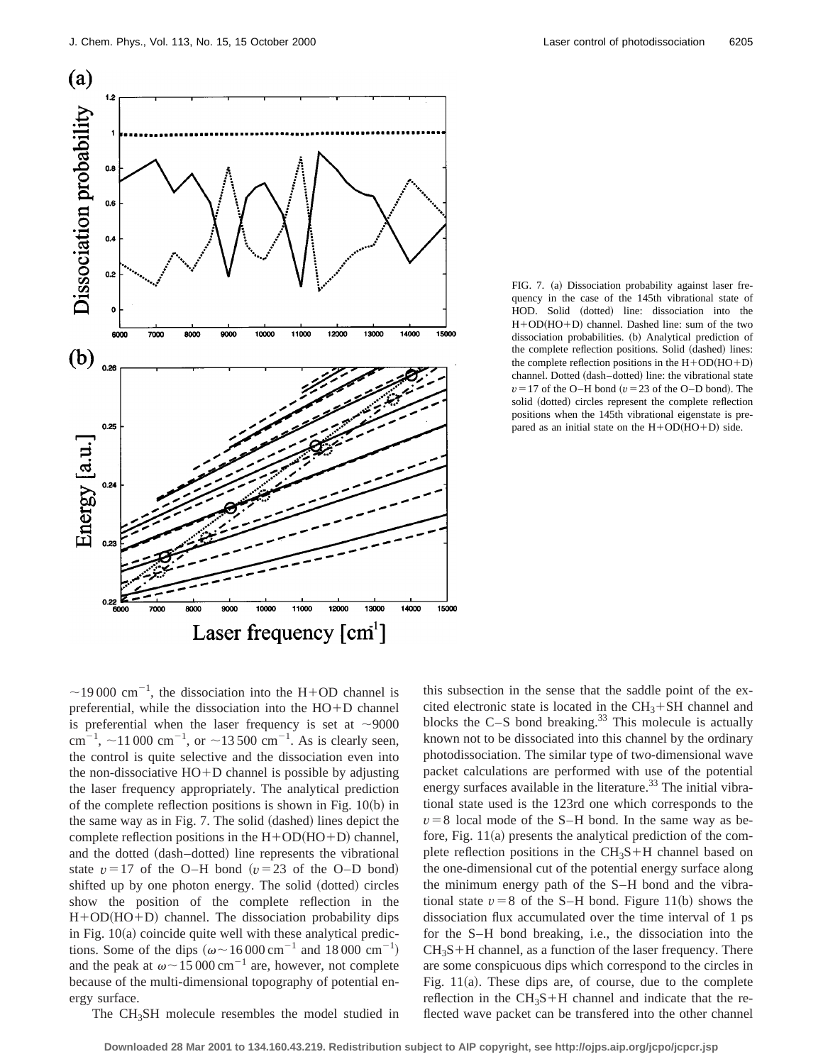

FIG. 7. (a) Dissociation probability against laser frequency in the case of the 145th vibrational state of HOD. Solid (dotted) line: dissociation into the  $H+OD(HO+D)$  channel. Dashed line: sum of the two dissociation probabilities. (b) Analytical prediction of the complete reflection positions. Solid (dashed) lines: the complete reflection positions in the  $H + OD(HO+D)$ channel. Dotted (dash-dotted) line: the vibrational state  $v = 17$  of the O–H bond ( $v = 23$  of the O–D bond). The solid (dotted) circles represent the complete reflection positions when the 145th vibrational eigenstate is prepared as an initial state on the  $H + OD(HO+D)$  side.

 $\sim$ 19 000 cm<sup>-1</sup>, the dissociation into the H+OD channel is preferential, while the dissociation into the  $HO+D$  channel is preferential when the laser frequency is set at  $\sim$ 9000 cm<sup>-1</sup>,  $\sim$ 11 000 cm<sup>-1</sup>, or  $\sim$ 13 500 cm<sup>-1</sup>. As is clearly seen, the control is quite selective and the dissociation even into the non-dissociative  $HO+D$  channel is possible by adjusting the laser frequency appropriately. The analytical prediction of the complete reflection positions is shown in Fig.  $10(b)$  in the same way as in Fig.  $7$ . The solid (dashed) lines depict the complete reflection positions in the  $H+OD(HO+D)$  channel, and the dotted (dash–dotted) line represents the vibrational state  $v=17$  of the O–H bond ( $v=23$  of the O–D bond) shifted up by one photon energy. The solid (dotted) circles show the position of the complete reflection in the  $H+OD(HO+D)$  channel. The dissociation probability dips in Fig.  $10(a)$  coincide quite well with these analytical predictions. Some of the dips  $(\omega \sim 16000 \text{ cm}^{-1}$  and  $18000 \text{ cm}^{-1})$ and the peak at  $\omega \sim 15000 \text{ cm}^{-1}$  are, however, not complete because of the multi-dimensional topography of potential energy surface.

The CH3SH molecule resembles the model studied in

this subsection in the sense that the saddle point of the excited electronic state is located in the  $CH<sub>3</sub>+SH$  channel and blocks the C–S bond breaking. $33$  This molecule is actually known not to be dissociated into this channel by the ordinary photodissociation. The similar type of two-dimensional wave packet calculations are performed with use of the potential energy surfaces available in the literature.<sup>33</sup> The initial vibrational state used is the 123rd one which corresponds to the  $v=8$  local mode of the S–H bond. In the same way as before, Fig.  $11(a)$  presents the analytical prediction of the complete reflection positions in the  $CH_3S+H$  channel based on the one-dimensional cut of the potential energy surface along the minimum energy path of the S–H bond and the vibrational state  $v=8$  of the S–H bond. Figure 11(b) shows the dissociation flux accumulated over the time interval of 1 ps for the S–H bond breaking, i.e., the dissociation into the  $CH_3S+H$  channel, as a function of the laser frequency. There are some conspicuous dips which correspond to the circles in Fig.  $11(a)$ . These dips are, of course, due to the complete reflection in the  $CH_3S+H$  channel and indicate that the reflected wave packet can be transfered into the other channel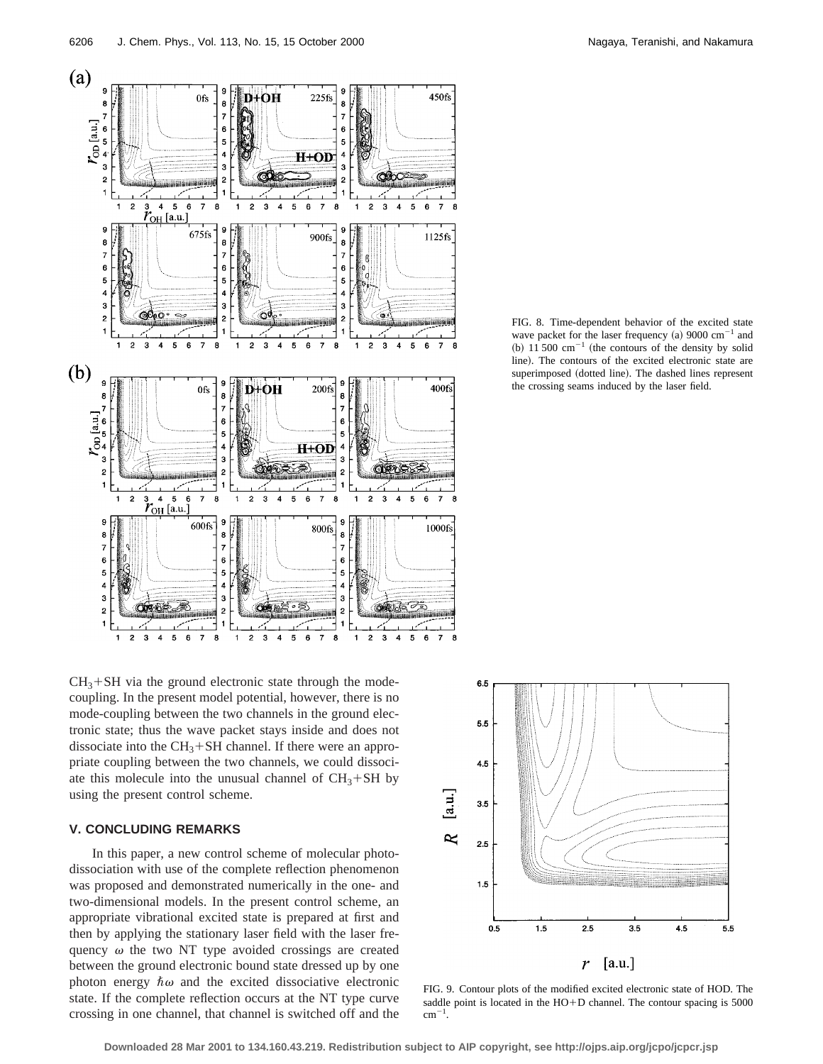

 $CH<sub>3</sub>+SH$  via the ground electronic state through the modecoupling. In the present model potential, however, there is no mode-coupling between the two channels in the ground electronic state; thus the wave packet stays inside and does not dissociate into the  $CH<sub>3</sub>+SH$  channel. If there were an appropriate coupling between the two channels, we could dissociate this molecule into the unusual channel of  $CH<sub>3</sub>+SH$  by using the present control scheme.

### **V. CONCLUDING REMARKS**

In this paper, a new control scheme of molecular photodissociation with use of the complete reflection phenomenon was proposed and demonstrated numerically in the one- and two-dimensional models. In the present control scheme, an appropriate vibrational excited state is prepared at first and then by applying the stationary laser field with the laser frequency  $\omega$  the two NT type avoided crossings are created between the ground electronic bound state dressed up by one photon energy  $\hbar \omega$  and the excited dissociative electronic state. If the complete reflection occurs at the NT type curve crossing in one channel, that channel is switched off and the

FIG. 8. Time-dependent behavior of the excited state wave packet for the laser frequency (a)  $9000 \text{ cm}^{-1}$  and (b)  $11\,500$  cm<sup>-1</sup> (the contours of the density by solid line). The contours of the excited electronic state are superimposed (dotted line). The dashed lines represent the crossing seams induced by the laser field.



FIG. 9. Contour plots of the modified excited electronic state of HOD. The saddle point is located in the  $HO+D$  channel. The contour spacing is 5000  $cm^{-1}$ .

**Downloaded 28 Mar 2001 to 134.160.43.219. Redistribution subject to AIP copyright, see http://ojps.aip.org/jcpo/jcpcr.jsp**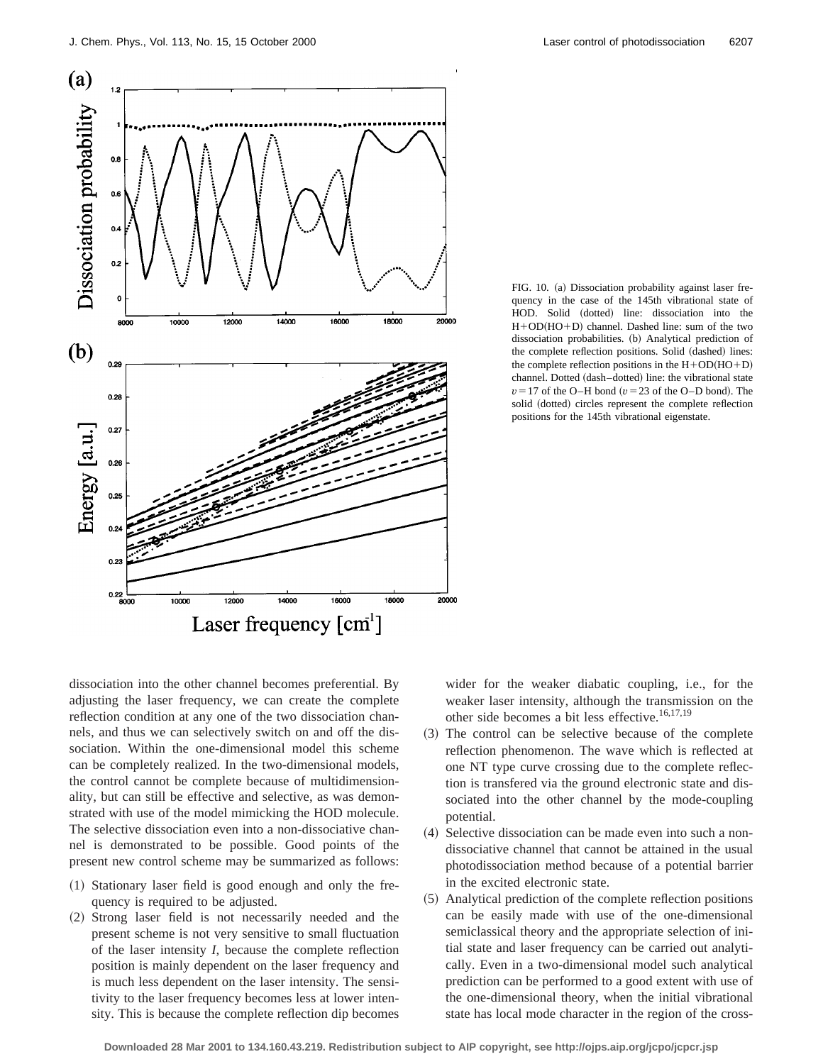

FIG. 10. (a) Dissociation probability against laser frequency in the case of the 145th vibrational state of HOD. Solid (dotted) line: dissociation into the  $H+OD(HO+D)$  channel. Dashed line: sum of the two dissociation probabilities. (b) Analytical prediction of the complete reflection positions. Solid (dashed) lines: the complete reflection positions in the  $H+OD(HO+D)$ channel. Dotted (dash–dotted) line: the vibrational state  $v = 17$  of the O–H bond ( $v = 23$  of the O–D bond). The solid (dotted) circles represent the complete reflection positions for the 145th vibrational eigenstate.

dissociation into the other channel becomes preferential. By adjusting the laser frequency, we can create the complete reflection condition at any one of the two dissociation channels, and thus we can selectively switch on and off the dissociation. Within the one-dimensional model this scheme can be completely realized. In the two-dimensional models, the control cannot be complete because of multidimensionality, but can still be effective and selective, as was demonstrated with use of the model mimicking the HOD molecule. The selective dissociation even into a non-dissociative channel is demonstrated to be possible. Good points of the present new control scheme may be summarized as follows:

- ~1! Stationary laser field is good enough and only the frequency is required to be adjusted.
- (2) Strong laser field is not necessarily needed and the present scheme is not very sensitive to small fluctuation of the laser intensity *I*, because the complete reflection position is mainly dependent on the laser frequency and is much less dependent on the laser intensity. The sensitivity to the laser frequency becomes less at lower intensity. This is because the complete reflection dip becomes

wider for the weaker diabatic coupling, i.e., for the weaker laser intensity, although the transmission on the other side becomes a bit less effective.<sup>16,17,19</sup>

- ~3! The control can be selective because of the complete reflection phenomenon. The wave which is reflected at one NT type curve crossing due to the complete reflection is transfered via the ground electronic state and dissociated into the other channel by the mode-coupling potential.
- (4) Selective dissociation can be made even into such a nondissociative channel that cannot be attained in the usual photodissociation method because of a potential barrier in the excited electronic state.
- ~5! Analytical prediction of the complete reflection positions can be easily made with use of the one-dimensional semiclassical theory and the appropriate selection of initial state and laser frequency can be carried out analytically. Even in a two-dimensional model such analytical prediction can be performed to a good extent with use of the one-dimensional theory, when the initial vibrational state has local mode character in the region of the cross-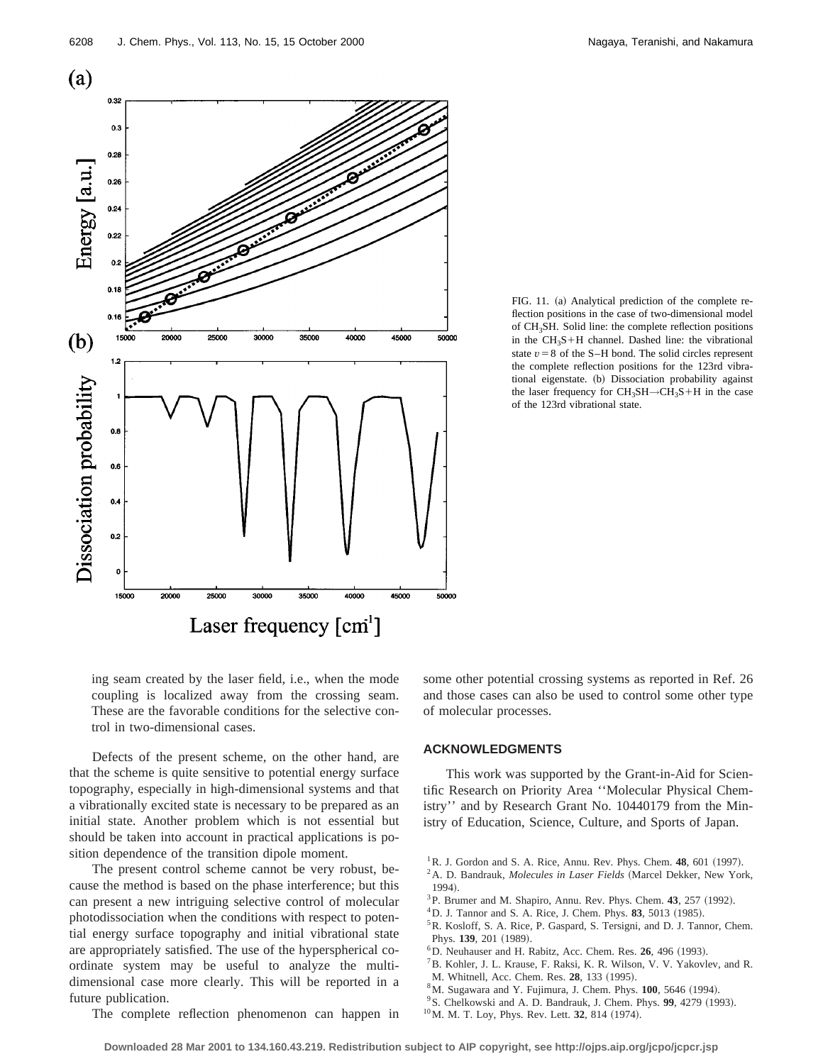$(a)$ 

Energy [a.u.]

 $(b)$ 

Dissociation probability

0.32

 $0.3$  $0.28$ 

 $0.26$ 

 $0.24$  $0.22$ 

 $0.2$  $0.15$  $0.16$ 

15000

 $1.2$ 

 $0.8$ 

 $0.6$ 

 $0.4$ 

 $0.2$ 

 $\mathbf{o}$ 15000 20000

20000

25000

25000

30000

35000

40000

45000

50000



FIG. 11. (a) Analytical prediction of the complete reflection positions in the case of two-dimensional model of  $CH<sub>3</sub>SH$ . Solid line: the complete reflection positions in the  $CH_3S+H$  channel. Dashed line: the vibrational state  $v = 8$  of the S–H bond. The solid circles represent the complete reflection positions for the 123rd vibrational eigenstate. (b) Dissociation probability against the laser frequency for  $CH_3SH \rightarrow CH_3S+H$  in the case of the 123rd vibrational state.

ing seam created by the laser field, i.e., when the mode coupling is localized away from the crossing seam. These are the favorable conditions for the selective control in two-dimensional cases.

30000

Laser frequency  $\lceil$  cm<sup>1</sup> $\rceil$ 

35000

40000

45000

50000

Defects of the present scheme, on the other hand, are that the scheme is quite sensitive to potential energy surface topography, especially in high-dimensional systems and that a vibrationally excited state is necessary to be prepared as an initial state. Another problem which is not essential but should be taken into account in practical applications is position dependence of the transition dipole moment.

The present control scheme cannot be very robust, because the method is based on the phase interference; but this can present a new intriguing selective control of molecular photodissociation when the conditions with respect to potential energy surface topography and initial vibrational state are appropriately satisfied. The use of the hyperspherical coordinate system may be useful to analyze the multidimensional case more clearly. This will be reported in a future publication.

The complete reflection phenomenon can happen in

some other potential crossing systems as reported in Ref. 26 and those cases can also be used to control some other type of molecular processes.

#### **ACKNOWLEDGMENTS**

This work was supported by the Grant-in-Aid for Scientific Research on Priority Area ''Molecular Physical Chemistry'' and by Research Grant No. 10440179 from the Ministry of Education, Science, Culture, and Sports of Japan.

- ${}^{1}$ R. J. Gordon and S. A. Rice, Annu. Rev. Phys. Chem. **48**, 601 (1997).
- <sup>2</sup> A. D. Bandrauk, *Molecules in Laser Fields* (Marcel Dekker, New York, 1994).
- <sup>3</sup>P. Brumer and M. Shapiro, Annu. Rev. Phys. Chem. 43, 257 (1992).
- <sup>4</sup> D. J. Tannor and S. A. Rice, J. Chem. Phys. **83**, 5013 (1985).
- <sup>5</sup>R. Kosloff, S. A. Rice, P. Gaspard, S. Tersigni, and D. J. Tannor, Chem. Phys. 139, 201 (1989).
- <sup>6</sup>D. Neuhauser and H. Rabitz, Acc. Chem. Res. **26**, 496 (1993).
- ${}^{7}$ B. Kohler, J. L. Krause, F. Raksi, K. R. Wilson, V. V. Yakovlev, and R. M. Whitnell, Acc. Chem. Res. 28, 133 (1995).
- <sup>8</sup>M. Sugawara and Y. Fujimura, J. Chem. Phys. **100**, 5646 (1994).
- <sup>9</sup>S. Chelkowski and A. D. Bandrauk, J. Chem. Phys. 99, 4279 (1993).
- <sup>10</sup>M. M. T. Loy, Phys. Rev. Lett. **32**, 814 (1974).